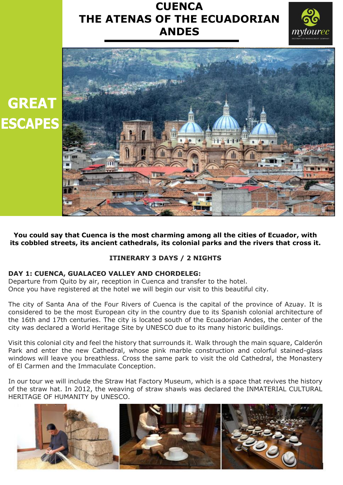# **CUENCA THE ATENAS OF THE ECUADORIAN ANDES**





**You could say that Cuenca is the most charming among all the cities of Ecuador, with its cobbled streets, its ancient cathedrals, its colonial parks and the rivers that cross it.**

## **ITINERARY 3 DAYS / 2 NIGHTS**

### **DAY 1: CUENCA, GUALACEO VALLEY AND CHORDELEG:**

Departure from Quito by air, reception in Cuenca and transfer to the hotel. Once you have registered at the hotel we will begin our visit to this beautiful city.

The city of Santa Ana of the Four Rivers of Cuenca is the capital of the province of Azuay. It is considered to be the most European city in the country due to its Spanish colonial architecture of the 16th and 17th centuries. The city is located south of the Ecuadorian Andes, the center of the city was declared a World Heritage Site by UNESCO due to its many historic buildings.

Visit this colonial city and feel the history that surrounds it. Walk through the main square, Calderón Park and enter the new Cathedral, whose pink marble construction and colorful stained-glass windows will leave you breathless. Cross the same park to visit the old Cathedral, the Monastery of El Carmen and the Immaculate Conception.

In our tour we will include the Straw Hat Factory Museum, which is a space that revives the history of the straw hat. In 2012, the weaving of straw shawls was declared the INMATERIAL CULTURAL HERITAGE OF HUMANITY by UNESCO.

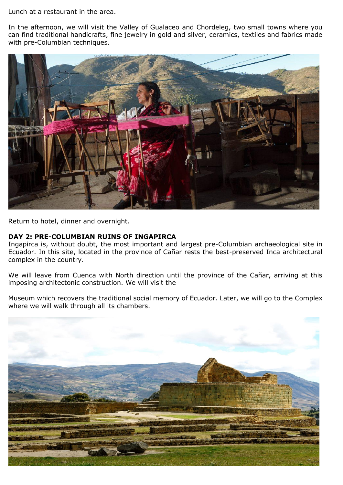Lunch at a restaurant in the area.

In the afternoon, we will visit the Valley of Gualaceo and Chordeleg, two small towns where you can find traditional handicrafts, fine jewelry in gold and silver, ceramics, textiles and fabrics made with pre-Columbian techniques.



Return to hotel, dinner and overnight.

### **DAY 2: PRE-COLUMBIAN RUINS OF INGAPIRCA**

Ingapirca is, without doubt, the most important and largest pre-Columbian archaeological site in Ecuador. In this site, located in the province of Cañar rests the best-preserved Inca architectural complex in the country.

We will leave from Cuenca with North direction until the province of the Cañar, arriving at this imposing architectonic construction. We will visit the

Museum which recovers the traditional social memory of Ecuador. Later, we will go to the Complex where we will walk through all its chambers.